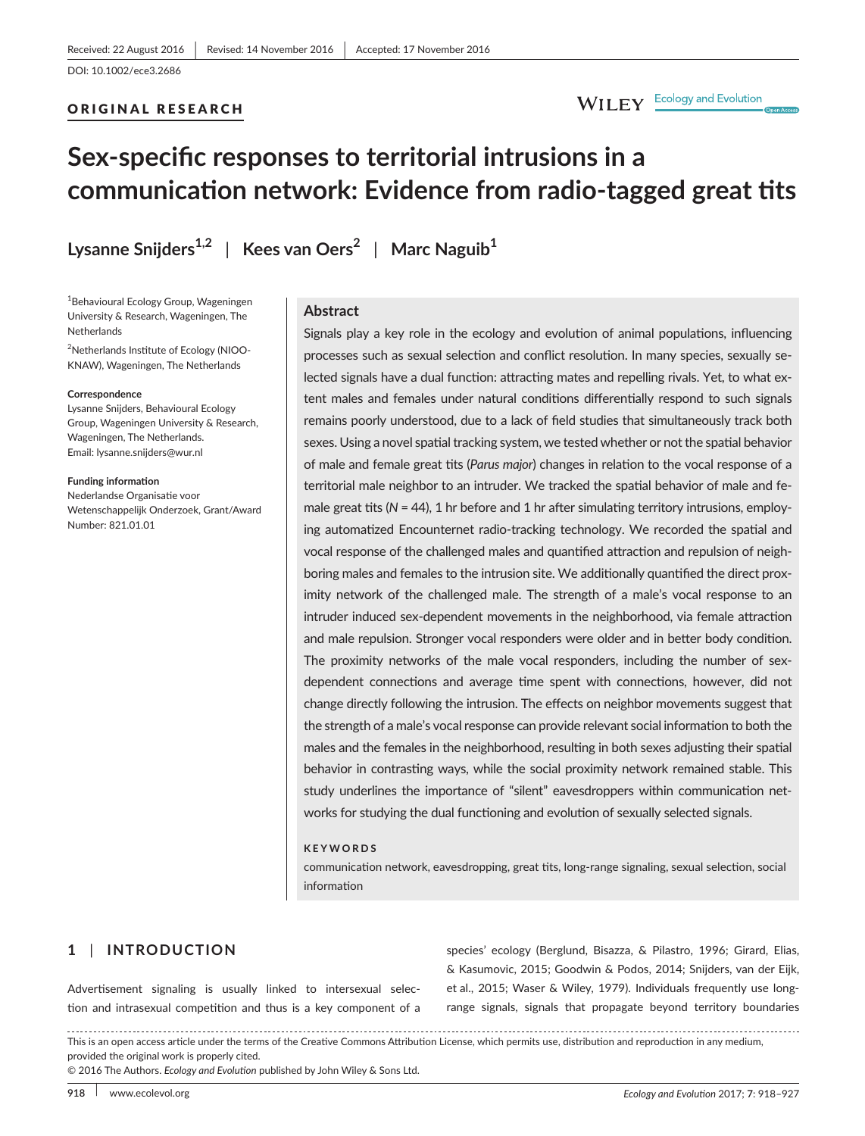## ORIGINAL RESEARCH

# WILEY Ecology and Evolution

# **Sex-specific responses to territorial intrusions in a communication network: Evidence from radio-tagged great tits**

**Lysanne Snijders1,2** | **Kees van Oers<sup>2</sup>** | **Marc Naguib<sup>1</sup>**

<sup>1</sup> Behavioural Ecology Group, Wageningen University & Research, Wageningen, The **Netherlands** 

<sup>2</sup>Netherlands Institute of Ecology (NIOO-KNAW), Wageningen, The Netherlands

#### **Correspondence**

Lysanne Snijders, Behavioural Ecology Group, Wageningen University & Research, Wageningen, The Netherlands. Email: [lysanne.snijders@wur.nl](mailto:lysanne.snijders@wur.nl)

**Funding information** Nederlandse Organisatie voor Wetenschappelijk Onderzoek, Grant/Award Number: 821.01.01

## **Abstract**

Signals play a key role in the ecology and evolution of animal populations, influencing processes such as sexual selection and conflict resolution. In many species, sexually selected signals have a dual function: attracting mates and repelling rivals. Yet, to what extent males and females under natural conditions differentially respond to such signals remains poorly understood, due to a lack of field studies that simultaneously track both sexes. Using a novel spatial tracking system, we tested whether or not the spatial behavior of male and female great tits (*Parus major*) changes in relation to the vocal response of a territorial male neighbor to an intruder. We tracked the spatial behavior of male and female great tits (N = 44), 1 hr before and 1 hr after simulating territory intrusions, employing automatized Encounternet radio-tracking technology. We recorded the spatial and vocal response of the challenged males and quantified attraction and repulsion of neighboring males and females to the intrusion site. We additionally quantified the direct proximity network of the challenged male. The strength of a male's vocal response to an intruder induced sex-dependent movements in the neighborhood, via female attraction and male repulsion. Stronger vocal responders were older and in better body condition. The proximity networks of the male vocal responders, including the number of sexdependent connections and average time spent with connections, however, did not change directly following the intrusion. The effects on neighbor movements suggest that the strength of a male's vocal response can provide relevant social information to both the males and the females in the neighborhood, resulting in both sexes adjusting their spatial behavior in contrasting ways, while the social proximity network remained stable. This study underlines the importance of "silent" eavesdroppers within communication networks for studying the dual functioning and evolution of sexually selected signals.

#### **KEYWORDS**

communication network, eavesdropping, great tits, long-range signaling, sexual selection, social information

# **1** | **INTRODUCTION**

Advertisement signaling is usually linked to intersexual selection and intrasexual competition and thus is a key component of a species' ecology (Berglund, Bisazza, & Pilastro, 1996; Girard, Elias, & Kasumovic, 2015; Goodwin & Podos, 2014; Snijders, van der Eijk, et al., 2015; Waser & Wiley, 1979). Individuals frequently use longrange signals, signals that propagate beyond territory boundaries

This is an open access article under the terms of the [Creative Commons Attribution](http://creativecommons.org/licenses/by/4.0/) License, which permits use, distribution and reproduction in any medium, provided the original work is properly cited.

© 2016 The Authors. *Ecology and Evolution* published by John Wiley & Sons Ltd.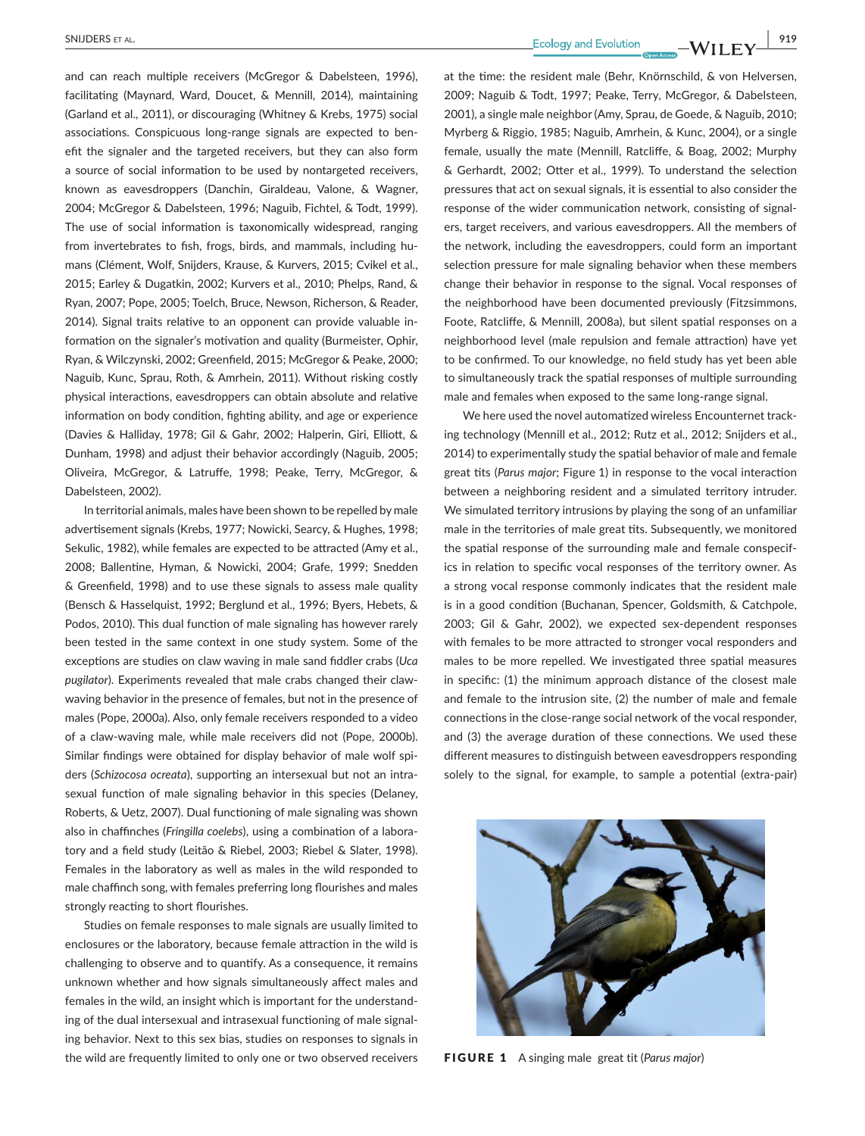and can reach multiple receivers (McGregor & Dabelsteen, 1996), facilitating (Maynard, Ward, Doucet, & Mennill, 2014), maintaining (Garland et al., 2011), or discouraging (Whitney & Krebs, 1975) social associations. Conspicuous long-range signals are expected to benefit the signaler and the targeted receivers, but they can also form a source of social information to be used by nontargeted receivers, known as eavesdroppers (Danchin, Giraldeau, Valone, & Wagner, 2004; McGregor & Dabelsteen, 1996; Naguib, Fichtel, & Todt, 1999). The use of social information is taxonomically widespread, ranging from invertebrates to fish, frogs, birds, and mammals, including humans (Clément, Wolf, Snijders, Krause, & Kurvers, 2015; Cvikel et al., 2015; Earley & Dugatkin, 2002; Kurvers et al., 2010; Phelps, Rand, & Ryan, 2007; Pope, 2005; Toelch, Bruce, Newson, Richerson, & Reader, 2014). Signal traits relative to an opponent can provide valuable information on the signaler's motivation and quality (Burmeister, Ophir, Ryan, & Wilczynski, 2002; Greenfield, 2015; McGregor & Peake, 2000; Naguib, Kunc, Sprau, Roth, & Amrhein, 2011). Without risking costly physical interactions, eavesdroppers can obtain absolute and relative information on body condition, fighting ability, and age or experience (Davies & Halliday, 1978; Gil & Gahr, 2002; Halperin, Giri, Elliott, & Dunham, 1998) and adjust their behavior accordingly (Naguib, 2005; Oliveira, McGregor, & Latruffe, 1998; Peake, Terry, McGregor, & Dabelsteen, 2002).

In territorial animals, males have been shown to be repelled by male advertisement signals (Krebs, 1977; Nowicki, Searcy, & Hughes, 1998; Sekulic, 1982), while females are expected to be attracted (Amy et al., 2008; Ballentine, Hyman, & Nowicki, 2004; Grafe, 1999; Snedden & Greenfield, 1998) and to use these signals to assess male quality (Bensch & Hasselquist, 1992; Berglund et al., 1996; Byers, Hebets, & Podos, 2010). This dual function of male signaling has however rarely been tested in the same context in one study system. Some of the exceptions are studies on claw waving in male sand fiddler crabs (*Uca pugilator*). Experiments revealed that male crabs changed their clawwaving behavior in the presence of females, but not in the presence of males (Pope, 2000a). Also, only female receivers responded to a video of a claw-waving male, while male receivers did not (Pope, 2000b). Similar findings were obtained for display behavior of male wolf spiders (*Schizocosa ocreata*), supporting an intersexual but not an intrasexual function of male signaling behavior in this species (Delaney, Roberts, & Uetz, 2007). Dual functioning of male signaling was shown also in chaffinches (*Fringilla coelebs*), using a combination of a laboratory and a field study (Leitão & Riebel, 2003; Riebel & Slater, 1998). Females in the laboratory as well as males in the wild responded to male chaffinch song, with females preferring long flourishes and males strongly reacting to short flourishes.

Studies on female responses to male signals are usually limited to enclosures or the laboratory, because female attraction in the wild is challenging to observe and to quantify. As a consequence, it remains unknown whether and how signals simultaneously affect males and females in the wild, an insight which is important for the understanding of the dual intersexual and intrasexual functioning of male signaling behavior. Next to this sex bias, studies on responses to signals in the wild are frequently limited to only one or two observed receivers

 **SNIJDERS** ET AL. **1919**<br> **Ecology** and Evolution **CONS** EVILLEY

at the time: the resident male (Behr, Knörnschild, & von Helversen, 2009; Naguib & Todt, 1997; Peake, Terry, McGregor, & Dabelsteen, 2001), a single male neighbor (Amy, Sprau, de Goede, & Naguib, 2010; Myrberg & Riggio, 1985; Naguib, Amrhein, & Kunc, 2004), or a single female, usually the mate (Mennill, Ratcliffe, & Boag, 2002; Murphy & Gerhardt, 2002; Otter et al., 1999). To understand the selection pressures that act on sexual signals, it is essential to also consider the response of the wider communication network, consisting of signalers, target receivers, and various eavesdroppers. All the members of the network, including the eavesdroppers, could form an important selection pressure for male signaling behavior when these members change their behavior in response to the signal. Vocal responses of the neighborhood have been documented previously (Fitzsimmons, Foote, Ratcliffe, & Mennill, 2008a), but silent spatial responses on a neighborhood level (male repulsion and female attraction) have yet to be confirmed. To our knowledge, no field study has yet been able to simultaneously track the spatial responses of multiple surrounding male and females when exposed to the same long-range signal.

We here used the novel automatized wireless Encounternet tracking technology (Mennill et al., 2012; Rutz et al., 2012; Snijders et al., 2014) to experimentally study the spatial behavior of male and female great tits (*Parus major*; Figure 1) in response to the vocal interaction between a neighboring resident and a simulated territory intruder. We simulated territory intrusions by playing the song of an unfamiliar male in the territories of male great tits. Subsequently, we monitored the spatial response of the surrounding male and female conspecifics in relation to specific vocal responses of the territory owner. As a strong vocal response commonly indicates that the resident male is in a good condition (Buchanan, Spencer, Goldsmith, & Catchpole, 2003; Gil & Gahr, 2002), we expected sex-dependent responses with females to be more attracted to stronger vocal responders and males to be more repelled. We investigated three spatial measures in specific: (1) the minimum approach distance of the closest male and female to the intrusion site, (2) the number of male and female connections in the close-range social network of the vocal responder, and (3) the average duration of these connections. We used these different measures to distinguish between eavesdroppers responding solely to the signal, for example, to sample a potential (extra-pair)



FIGURE 1 A singing male great tit (*Parus major*)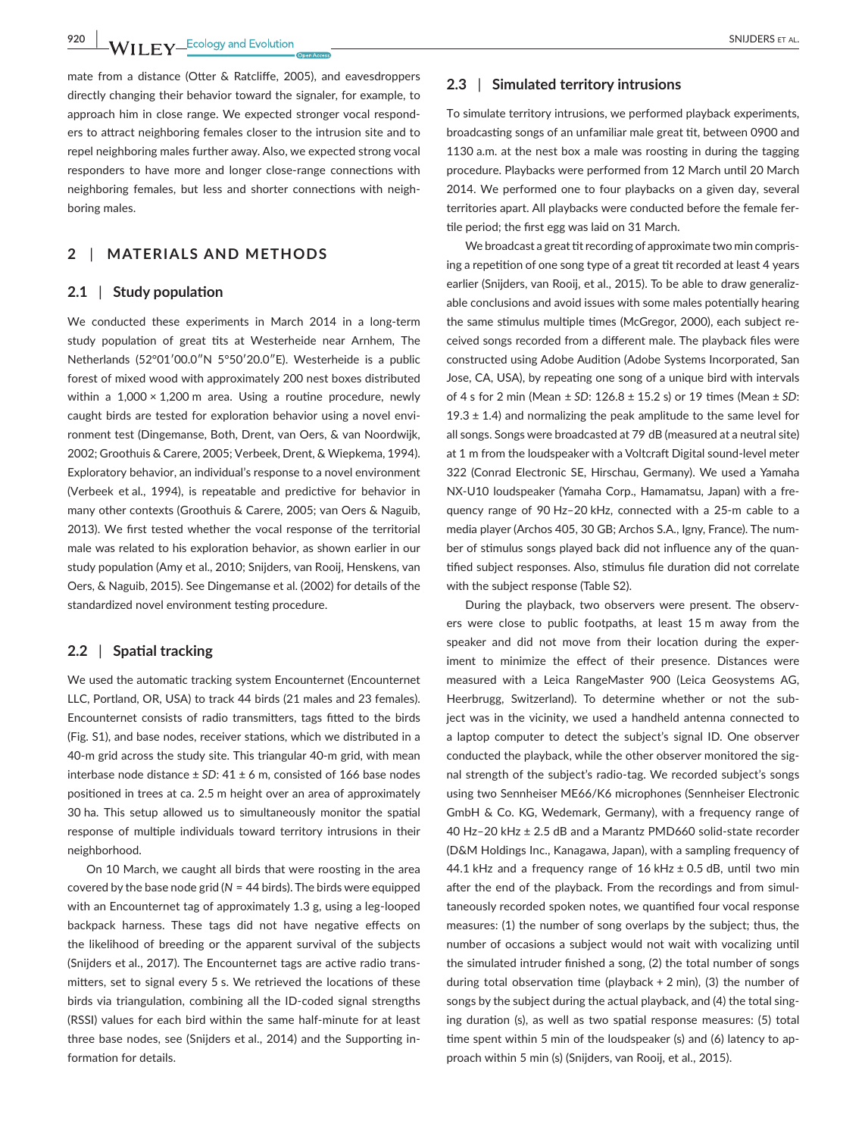**920 WII FY** Ecology and Evolution **and Example 20 CONFIDERS ET AL.** 

mate from a distance (Otter & Ratcliffe, 2005), and eavesdroppers directly changing their behavior toward the signaler, for example, to approach him in close range. We expected stronger vocal responders to attract neighboring females closer to the intrusion site and to repel neighboring males further away. Also, we expected strong vocal responders to have more and longer close-range connections with neighboring females, but less and shorter connections with neighboring males.

## **2** | **MATERIALS AND METHODS**

## **2.1** | **Study population**

We conducted these experiments in March 2014 in a long-term study population of great tits at Westerheide near Arnhem, The Netherlands (52°01′00.0″N 5°50′20.0″E). Westerheide is a public forest of mixed wood with approximately 200 nest boxes distributed within a  $1,000 \times 1,200$  m area. Using a routine procedure, newly caught birds are tested for exploration behavior using a novel environment test (Dingemanse, Both, Drent, van Oers, & van Noordwijk, 2002; Groothuis & Carere, 2005; Verbeek, Drent, & Wiepkema, 1994). Exploratory behavior, an individual's response to a novel environment (Verbeek et al., 1994), is repeatable and predictive for behavior in many other contexts (Groothuis & Carere, 2005; van Oers & Naguib, 2013). We first tested whether the vocal response of the territorial male was related to his exploration behavior, as shown earlier in our study population (Amy et al., 2010; Snijders, van Rooij, Henskens, van Oers, & Naguib, 2015). See Dingemanse et al. (2002) for details of the standardized novel environment testing procedure.

## **2.2** | **Spatial tracking**

We used the automatic tracking system Encounternet (Encounternet LLC, Portland, OR, USA) to track 44 birds (21 males and 23 females). Encounternet consists of radio transmitters, tags fitted to the birds (Fig. S1), and base nodes, receiver stations, which we distributed in a 40-m grid across the study site. This triangular 40-m grid, with mean interbase node distance ± *SD*: 41 ± 6 m, consisted of 166 base nodes positioned in trees at ca. 2.5 m height over an area of approximately 30 ha. This setup allowed us to simultaneously monitor the spatial response of multiple individuals toward territory intrusions in their neighborhood.

On 10 March, we caught all birds that were roosting in the area covered by the base node grid (*N* = 44 birds). The birds were equipped with an Encounternet tag of approximately 1.3 g, using a leg-looped backpack harness. These tags did not have negative effects on the likelihood of breeding or the apparent survival of the subjects (Snijders et al., 2017). The Encounternet tags are active radio transmitters, set to signal every 5 s. We retrieved the locations of these birds via triangulation, combining all the ID-coded signal strengths (RSSI) values for each bird within the same half-minute for at least three base nodes, see (Snijders et al., 2014) and the Supporting information for details.

## **2.3** | **Simulated territory intrusions**

To simulate territory intrusions, we performed playback experiments, broadcasting songs of an unfamiliar male great tit, between 0900 and 1130 a.m. at the nest box a male was roosting in during the tagging procedure. Playbacks were performed from 12 March until 20 March 2014. We performed one to four playbacks on a given day, several territories apart. All playbacks were conducted before the female fertile period; the first egg was laid on 31 March.

We broadcast a great tit recording of approximate two min comprising a repetition of one song type of a great tit recorded at least 4 years earlier (Snijders, van Rooij, et al., 2015). To be able to draw generalizable conclusions and avoid issues with some males potentially hearing the same stimulus multiple times (McGregor, 2000), each subject received songs recorded from a different male. The playback files were constructed using Adobe Audition (Adobe Systems Incorporated, San Jose, CA, USA), by repeating one song of a unique bird with intervals of 4 s for 2 min (Mean ± *SD*: 126.8 ± 15.2 s) or 19 times (Mean ± *SD*: 19.3  $\pm$  1.4) and normalizing the peak amplitude to the same level for all songs. Songs were broadcasted at 79 dB (measured at a neutral site) at 1 m from the loudspeaker with a Voltcraft Digital sound-level meter 322 (Conrad Electronic SE, Hirschau, Germany). We used a Yamaha NX-U10 loudspeaker (Yamaha Corp., Hamamatsu, Japan) with a frequency range of 90 Hz–20 kHz, connected with a 25-m cable to a media player (Archos 405, 30 GB; Archos S.A., Igny, France). The number of stimulus songs played back did not influence any of the quantified subject responses. Also, stimulus file duration did not correlate with the subject response (Table S2).

During the playback, two observers were present. The observers were close to public footpaths, at least 15 m away from the speaker and did not move from their location during the experiment to minimize the effect of their presence. Distances were measured with a Leica RangeMaster 900 (Leica Geosystems AG, Heerbrugg, Switzerland). To determine whether or not the subject was in the vicinity, we used a handheld antenna connected to a laptop computer to detect the subject's signal ID. One observer conducted the playback, while the other observer monitored the signal strength of the subject's radio-tag. We recorded subject's songs using two Sennheiser ME66/K6 microphones (Sennheiser Electronic GmbH & Co. KG, Wedemark, Germany), with a frequency range of 40 Hz–20 kHz ± 2.5 dB and a Marantz PMD660 solid-state recorder (D&M Holdings Inc., Kanagawa, Japan), with a sampling frequency of 44.1 kHz and a frequency range of  $16$  kHz  $\pm$  0.5 dB, until two min after the end of the playback. From the recordings and from simultaneously recorded spoken notes, we quantified four vocal response measures: (1) the number of song overlaps by the subject; thus, the number of occasions a subject would not wait with vocalizing until the simulated intruder finished a song, (2) the total number of songs during total observation time (playback + 2 min), (3) the number of songs by the subject during the actual playback, and (4) the total singing duration (s), as well as two spatial response measures: (5) total time spent within 5 min of the loudspeaker (s) and (6) latency to approach within 5 min (s) (Snijders, van Rooij, et al., 2015).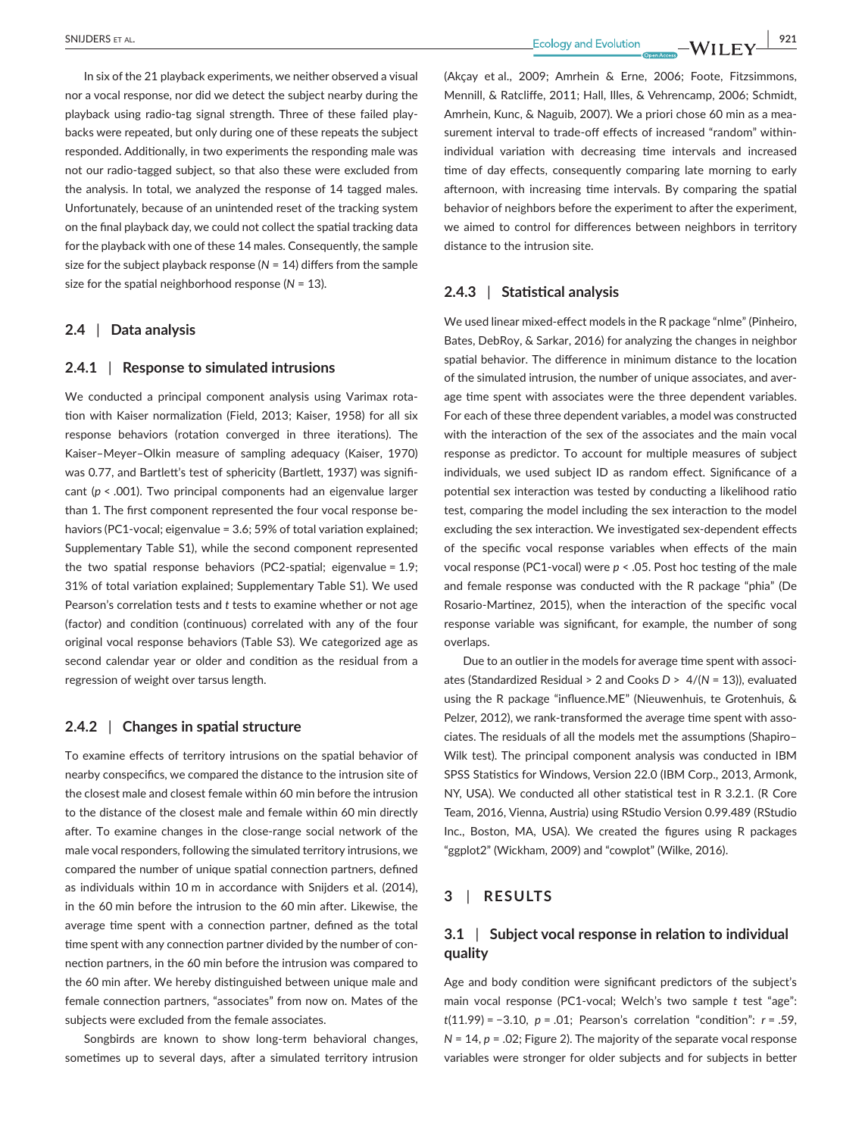In six of the 21 playback experiments, we neither observed a visual nor a vocal response, nor did we detect the subject nearby during the playback using radio-tag signal strength. Three of these failed playbacks were repeated, but only during one of these repeats the subject responded. Additionally, in two experiments the responding male was not our radio-tagged subject, so that also these were excluded from the analysis. In total, we analyzed the response of 14 tagged males. Unfortunately, because of an unintended reset of the tracking system on the final playback day, we could not collect the spatial tracking data for the playback with one of these 14 males. Consequently, the sample size for the subject playback response (*N* = 14) differs from the sample size for the spatial neighborhood response (*N* = 13).

#### **2.4** | **Data analysis**

#### **2.4.1** | **Response to simulated intrusions**

We conducted a principal component analysis using Varimax rotation with Kaiser normalization (Field, 2013; Kaiser, 1958) for all six response behaviors (rotation converged in three iterations). The Kaiser–Meyer–Olkin measure of sampling adequacy (Kaiser, 1970) was 0.77, and Bartlett's test of sphericity (Bartlett, 1937) was significant (*p* < .001). Two principal components had an eigenvalue larger than 1. The first component represented the four vocal response behaviors (PC1-vocal; eigenvalue = 3.6; 59% of total variation explained; Supplementary Table S1), while the second component represented the two spatial response behaviors (PC2-spatial; eigenvalue = 1.9; 31% of total variation explained; Supplementary Table S1). We used Pearson's correlation tests and *t* tests to examine whether or not age (factor) and condition (continuous) correlated with any of the four original vocal response behaviors (Table S3). We categorized age as second calendar year or older and condition as the residual from a regression of weight over tarsus length.

#### **2.4.2** | **Changes in spatial structure**

To examine effects of territory intrusions on the spatial behavior of nearby conspecifics, we compared the distance to the intrusion site of the closest male and closest female within 60 min before the intrusion to the distance of the closest male and female within 60 min directly after. To examine changes in the close-range social network of the male vocal responders, following the simulated territory intrusions, we compared the number of unique spatial connection partners, defined as individuals within 10 m in accordance with Snijders et al. (2014), in the 60 min before the intrusion to the 60 min after. Likewise, the average time spent with a connection partner, defined as the total time spent with any connection partner divided by the number of connection partners, in the 60 min before the intrusion was compared to the 60 min after. We hereby distinguished between unique male and female connection partners, "associates" from now on. Mates of the subjects were excluded from the female associates.

Songbirds are known to show long-term behavioral changes, sometimes up to several days, after a simulated territory intrusion (Akçay et al., 2009; Amrhein & Erne, 2006; Foote, Fitzsimmons, Mennill, & Ratcliffe, 2011; Hall, Illes, & Vehrencamp, 2006; Schmidt, Amrhein, Kunc, & Naguib, 2007). We a priori chose 60 min as a measurement interval to trade-off effects of increased "random" withinindividual variation with decreasing time intervals and increased time of day effects, consequently comparing late morning to early afternoon, with increasing time intervals. By comparing the spatial behavior of neighbors before the experiment to after the experiment, we aimed to control for differences between neighbors in territory distance to the intrusion site.

## **2.4.3** | **Statistical analysis**

We used linear mixed-effect models in the R package "nlme" (Pinheiro, Bates, DebRoy, & Sarkar, 2016) for analyzing the changes in neighbor spatial behavior. The difference in minimum distance to the location of the simulated intrusion, the number of unique associates, and average time spent with associates were the three dependent variables. For each of these three dependent variables, a model was constructed with the interaction of the sex of the associates and the main vocal response as predictor. To account for multiple measures of subject individuals, we used subject ID as random effect. Significance of a potential sex interaction was tested by conducting a likelihood ratio test, comparing the model including the sex interaction to the model excluding the sex interaction. We investigated sex-dependent effects of the specific vocal response variables when effects of the main vocal response (PC1-vocal) were *p* < .05. Post hoc testing of the male and female response was conducted with the R package "phia" (De Rosario-Martinez, 2015), when the interaction of the specific vocal response variable was significant, for example, the number of song overlaps.

Due to an outlier in the models for average time spent with associates (Standardized Residual > 2 and Cooks *D* > 4/(*N* = 13)), evaluated using the R package "influence.ME" (Nieuwenhuis, te Grotenhuis, & Pelzer, 2012), we rank-transformed the average time spent with associates. The residuals of all the models met the assumptions (Shapiro– Wilk test). The principal component analysis was conducted in IBM SPSS Statistics for Windows, Version 22.0 (IBM Corp., 2013, Armonk, NY, USA). We conducted all other statistical test in R 3.2.1. (R Core Team, 2016, Vienna, Austria) using RStudio Version 0.99.489 (RStudio Inc., Boston, MA, USA). We created the figures using R packages "ggplot2" (Wickham, 2009) and "cowplot" (Wilke, 2016).

## **3** | **RESULTS**

# **3.1** | **Subject vocal response in relation to individual quality**

Age and body condition were significant predictors of the subject's main vocal response (PC1-vocal; Welch's two sample *t* test "age": *t*(11.99) = −3.10, *p* = .01; Pearson's correlation "condition": *r* = .59, *N* = 14, *p* = .02; Figure 2). The majority of the separate vocal response variables were stronger for older subjects and for subjects in better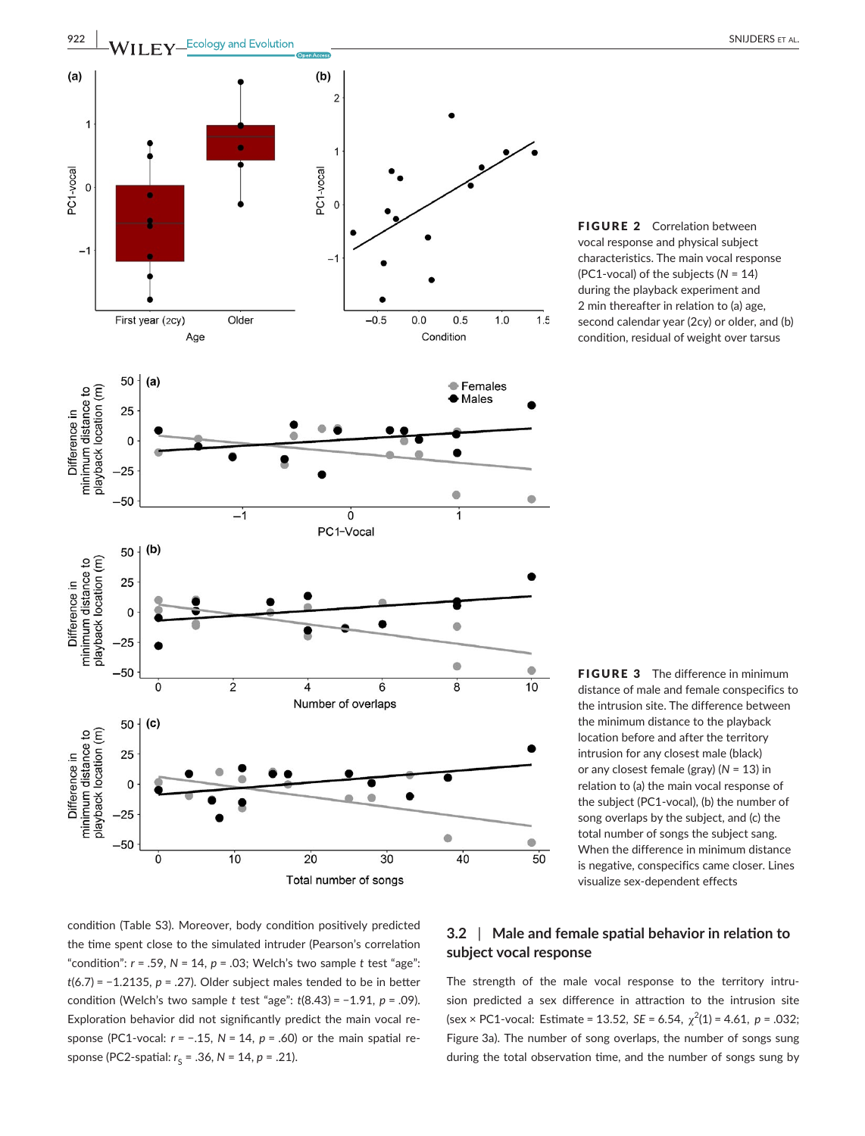

FIGURE 2 Correlation between vocal response and physical subject characteristics. The main vocal response (PC1-vocal) of the subjects (*N* = 14) during the playback experiment and 2 min thereafter in relation to (a) age, second calendar year (2cy) or older, and (b) condition, residual of weight over tarsus

**FIGURE 3** The difference in minimum distance of male and female conspecifics to the intrusion site. The difference between the minimum distance to the playback location before and after the territory intrusion for any closest male (black) or any closest female (gray) (*N* = 13) in relation to (a) the main vocal response of the subject (PC1-vocal), (b) the number of song overlaps by the subject, and (c) the total number of songs the subject sang. When the difference in minimum distance is negative, conspecifics came closer. Lines visualize sex-dependent effects

condition (Table S3). Moreover, body condition positively predicted the time spent close to the simulated intruder (Pearson's correlation "condition":  $r = .59$ ,  $N = 14$ ,  $p = .03$ ; Welch's two sample  $t$  test "age": *t*(6.7) = −1.2135, *p* = .27). Older subject males tended to be in better condition (Welch's two sample *t* test "age": *t*(8.43) = −1.91, *p* = .09). Exploration behavior did not significantly predict the main vocal response (PC1-vocal: *r* = −.15, *N* = 14, *p* = .60) or the main spatial response (PC2-spatial:  $r_s = .36$ ,  $N = 14$ ,  $p = .21$ ).

# **3.2** | **Male and female spatial behavior in relation to subject vocal response**

The strength of the male vocal response to the territory intrusion predicted a sex difference in attraction to the intrusion site  $(\text{sex} \times \text{PC1-vocal: Estimate} = 13.52, SE = 6.54, \chi^2(1) = 4.61, p = .032;$ Figure 3a). The number of song overlaps, the number of songs sung during the total observation time, and the number of songs sung by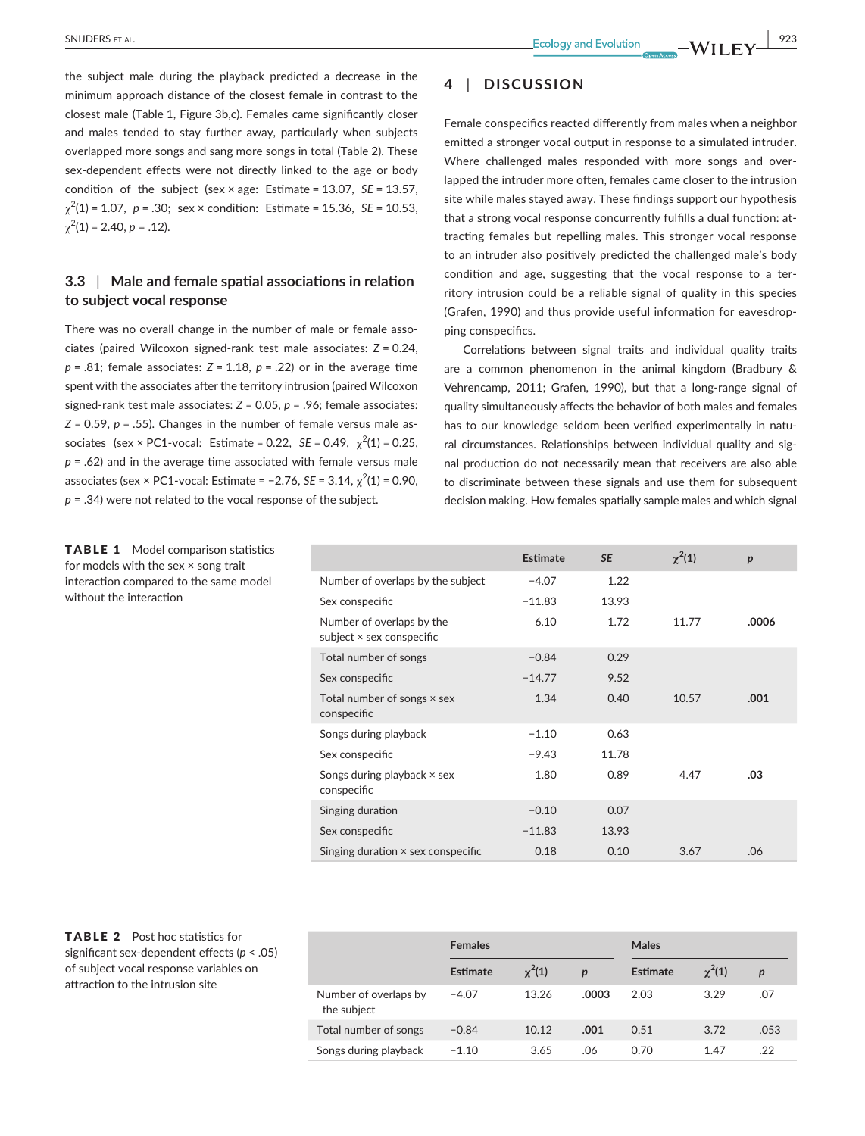the subject male during the playback predicted a decrease in the minimum approach distance of the closest female in contrast to the closest male (Table 1, Figure 3b,c). Females came significantly closer and males tended to stay further away, particularly when subjects overlapped more songs and sang more songs in total (Table 2). These sex-dependent effects were not directly linked to the age or body condition of the subject (sex × age: Estimate = 13.07, *SE* = 13.57, χ2 (1) = 1.07, *p* = .30; sex × condition: Estimate = 15.36, *SE* = 10.53,  $\chi^2(1) = 2.40, p = .12$ ).

# **3.3** | **Male and female spatial associations in relation to subject vocal response**

There was no overall change in the number of male or female associates (paired Wilcoxon signed-rank test male associates: *Z* = 0.24, *p* = .81; female associates: *Z* = 1.18, *p* = .22) or in the average time spent with the associates after the territory intrusion (paired Wilcoxon signed-rank test male associates: *Z* = 0.05, *p* = .96; female associates: *Z* = 0.59, *p* = .55). Changes in the number of female versus male associates (sex  $\times$  PC1-vocal: Estimate = 0.22, *SE* = 0.49,  $\chi^2(1)$  = 0.25, *p* = .62) and in the average time associated with female versus male associates (sex × PC1-vocal: Estimate =  $-2.76$ , *SE* = 3.14,  $\chi^2(1)$  = 0.90, *p* = .34) were not related to the vocal response of the subject.

TABLE 1 Model comparison statistics for models with the sex × song trait interaction compared to the same model without the interaction

# **4** | **DISCUSSION**

Female conspecifics reacted differently from males when a neighbor emitted a stronger vocal output in response to a simulated intruder. Where challenged males responded with more songs and overlapped the intruder more often, females came closer to the intrusion site while males stayed away. These findings support our hypothesis that a strong vocal response concurrently fulfills a dual function: attracting females but repelling males. This stronger vocal response to an intruder also positively predicted the challenged male's body condition and age, suggesting that the vocal response to a territory intrusion could be a reliable signal of quality in this species (Grafen, 1990) and thus provide useful information for eavesdropping conspecifics.

Correlations between signal traits and individual quality traits are a common phenomenon in the animal kingdom (Bradbury & Vehrencamp, 2011; Grafen, 1990), but that a long-range signal of quality simultaneously affects the behavior of both males and females has to our knowledge seldom been verified experimentally in natural circumstances. Relationships between individual quality and signal production do not necessarily mean that receivers are also able to discriminate between these signals and use them for subsequent decision making. How females spatially sample males and which signal

|                                                        | Estimate | <b>SE</b> | $\chi^2(1)$ | p     |
|--------------------------------------------------------|----------|-----------|-------------|-------|
| Number of overlaps by the subject                      | $-4.07$  | 1.22      |             |       |
| Sex conspecific                                        | $-11.83$ | 13.93     |             |       |
| Number of overlaps by the<br>subject × sex conspecific | 6.10     | 1.72      | 11.77       | .0006 |
| Total number of songs                                  | $-0.84$  | 0.29      |             |       |
| Sex conspecific                                        | $-14.77$ | 9.52      |             |       |
| Total number of songs $\times$ sex<br>conspecific      | 1.34     | 0.40      | 10.57       | .001  |
| Songs during playback                                  | $-1.10$  | 0.63      |             |       |
| Sex conspecific                                        | $-9.43$  | 11.78     |             |       |
| Songs during playback $\times$ sex<br>conspecific      | 1.80     | 0.89      | 4.47        | .03   |
| Singing duration                                       | $-0.10$  | 0.07      |             |       |
| Sex conspecific                                        | $-11.83$ | 13.93     |             |       |
| Singing duration $\times$ sex conspecific              | 0.18     | 0.10      | 3.67        | .06   |

## TABLE 2 Post hoc statistics for significant sex-dependent effects (*p* < .05) of subject vocal response variables on attraction to the intrusion site

|                                      | <b>Females</b>  |               |                  | <b>Males</b>    |               |                  |
|--------------------------------------|-----------------|---------------|------------------|-----------------|---------------|------------------|
|                                      | <b>Estimate</b> | $\gamma^2(1)$ | $\boldsymbol{p}$ | <b>Estimate</b> | $\gamma^2(1)$ | $\boldsymbol{p}$ |
| Number of overlaps by<br>the subject | $-4.07$         | 13.26         | .0003            | 2.03            | 3.29          | .07              |
| Total number of songs                | $-0.84$         | 10.12         | .001             | 0.51            | 3.72          | .053             |
| Songs during playback                | $-1.10$         | 3.65          | .06              | 0.70            | 1.47          | .22              |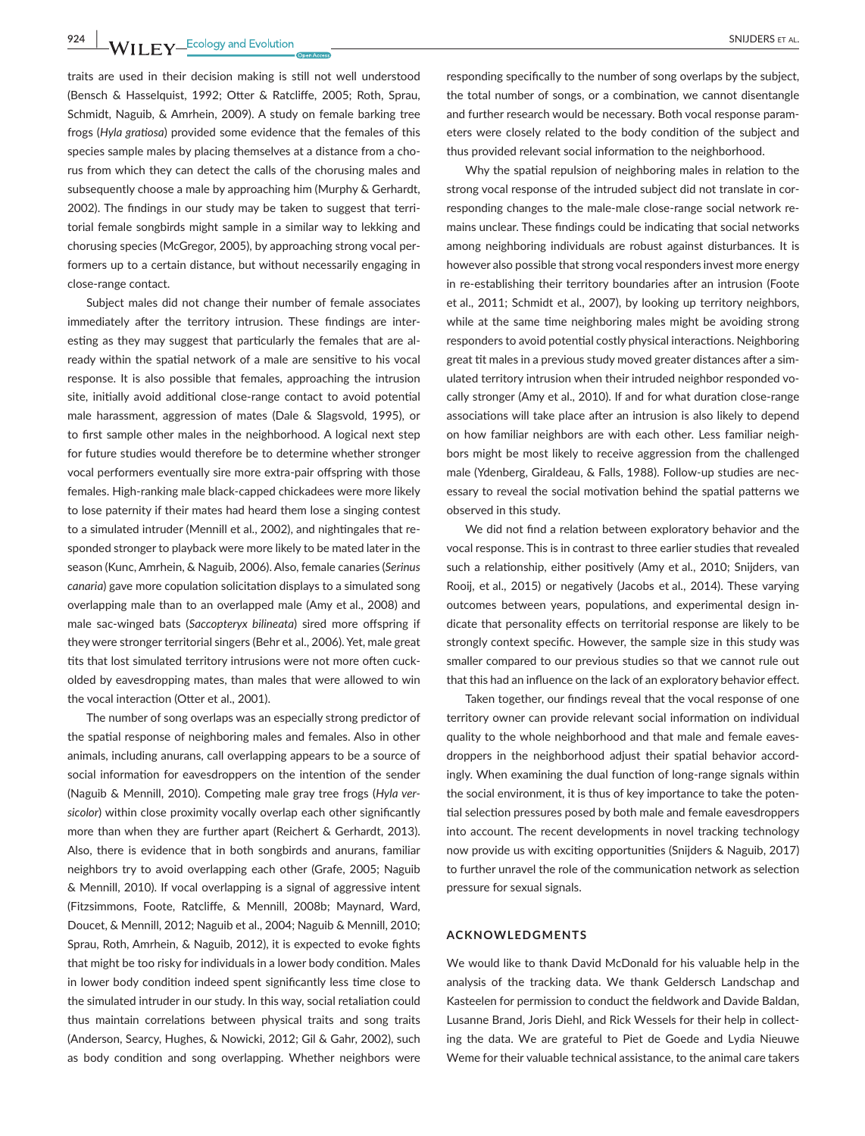**924 WII FY** Ecology and Evolution **and Example 24 CONSUMPLERS ET AL.** 

traits are used in their decision making is still not well understood (Bensch & Hasselquist, 1992; Otter & Ratcliffe, 2005; Roth, Sprau, Schmidt, Naguib, & Amrhein, 2009). A study on female barking tree frogs (*Hyla gratiosa*) provided some evidence that the females of this species sample males by placing themselves at a distance from a chorus from which they can detect the calls of the chorusing males and subsequently choose a male by approaching him (Murphy & Gerhardt, 2002). The findings in our study may be taken to suggest that territorial female songbirds might sample in a similar way to lekking and chorusing species (McGregor, 2005), by approaching strong vocal performers up to a certain distance, but without necessarily engaging in close-range contact.

Subject males did not change their number of female associates immediately after the territory intrusion. These findings are interesting as they may suggest that particularly the females that are already within the spatial network of a male are sensitive to his vocal response. It is also possible that females, approaching the intrusion site, initially avoid additional close-range contact to avoid potential male harassment, aggression of mates (Dale & Slagsvold, 1995), or to first sample other males in the neighborhood. A logical next step for future studies would therefore be to determine whether stronger vocal performers eventually sire more extra-pair offspring with those females. High-ranking male black-capped chickadees were more likely to lose paternity if their mates had heard them lose a singing contest to a simulated intruder (Mennill et al., 2002), and nightingales that responded stronger to playback were more likely to be mated later in the season (Kunc, Amrhein, & Naguib, 2006). Also, female canaries (*Serinus canaria*) gave more copulation solicitation displays to a simulated song overlapping male than to an overlapped male (Amy et al., 2008) and male sac-winged bats (*Saccopteryx bilineata*) sired more offspring if they were stronger territorial singers (Behr et al., 2006). Yet, male great tits that lost simulated territory intrusions were not more often cuckolded by eavesdropping mates, than males that were allowed to win the vocal interaction (Otter et al., 2001).

The number of song overlaps was an especially strong predictor of the spatial response of neighboring males and females. Also in other animals, including anurans, call overlapping appears to be a source of social information for eavesdroppers on the intention of the sender (Naguib & Mennill, 2010). Competing male gray tree frogs (*Hyla versicolor*) within close proximity vocally overlap each other significantly more than when they are further apart (Reichert & Gerhardt, 2013). Also, there is evidence that in both songbirds and anurans, familiar neighbors try to avoid overlapping each other (Grafe, 2005; Naguib & Mennill, 2010). If vocal overlapping is a signal of aggressive intent (Fitzsimmons, Foote, Ratcliffe, & Mennill, 2008b; Maynard, Ward, Doucet, & Mennill, 2012; Naguib et al., 2004; Naguib & Mennill, 2010; Sprau, Roth, Amrhein, & Naguib, 2012), it is expected to evoke fights that might be too risky for individuals in a lower body condition. Males in lower body condition indeed spent significantly less time close to the simulated intruder in our study. In this way, social retaliation could thus maintain correlations between physical traits and song traits (Anderson, Searcy, Hughes, & Nowicki, 2012; Gil & Gahr, 2002), such as body condition and song overlapping. Whether neighbors were

responding specifically to the number of song overlaps by the subject, the total number of songs, or a combination, we cannot disentangle and further research would be necessary. Both vocal response parameters were closely related to the body condition of the subject and thus provided relevant social information to the neighborhood.

Why the spatial repulsion of neighboring males in relation to the strong vocal response of the intruded subject did not translate in corresponding changes to the male-male close-range social network remains unclear. These findings could be indicating that social networks among neighboring individuals are robust against disturbances. It is however also possible that strong vocal responders invest more energy in re-establishing their territory boundaries after an intrusion (Foote et al., 2011; Schmidt et al., 2007), by looking up territory neighbors, while at the same time neighboring males might be avoiding strong responders to avoid potential costly physical interactions. Neighboring great tit males in a previous study moved greater distances after a simulated territory intrusion when their intruded neighbor responded vocally stronger (Amy et al., 2010). If and for what duration close-range associations will take place after an intrusion is also likely to depend on how familiar neighbors are with each other. Less familiar neighbors might be most likely to receive aggression from the challenged male (Ydenberg, Giraldeau, & Falls, 1988). Follow-up studies are necessary to reveal the social motivation behind the spatial patterns we observed in this study.

We did not find a relation between exploratory behavior and the vocal response. This is in contrast to three earlier studies that revealed such a relationship, either positively (Amy et al., 2010; Snijders, van Rooij, et al., 2015) or negatively (Jacobs et al., 2014). These varying outcomes between years, populations, and experimental design indicate that personality effects on territorial response are likely to be strongly context specific. However, the sample size in this study was smaller compared to our previous studies so that we cannot rule out that this had an influence on the lack of an exploratory behavior effect.

Taken together, our findings reveal that the vocal response of one territory owner can provide relevant social information on individual quality to the whole neighborhood and that male and female eavesdroppers in the neighborhood adjust their spatial behavior accordingly. When examining the dual function of long-range signals within the social environment, it is thus of key importance to take the potential selection pressures posed by both male and female eavesdroppers into account. The recent developments in novel tracking technology now provide us with exciting opportunities (Snijders & Naguib, 2017) to further unravel the role of the communication network as selection pressure for sexual signals.

#### **ACKNOWLEDGMENTS**

We would like to thank David McDonald for his valuable help in the analysis of the tracking data. We thank Geldersch Landschap and Kasteelen for permission to conduct the fieldwork and Davide Baldan, Lusanne Brand, Joris Diehl, and Rick Wessels for their help in collecting the data. We are grateful to Piet de Goede and Lydia Nieuwe Weme for their valuable technical assistance, to the animal care takers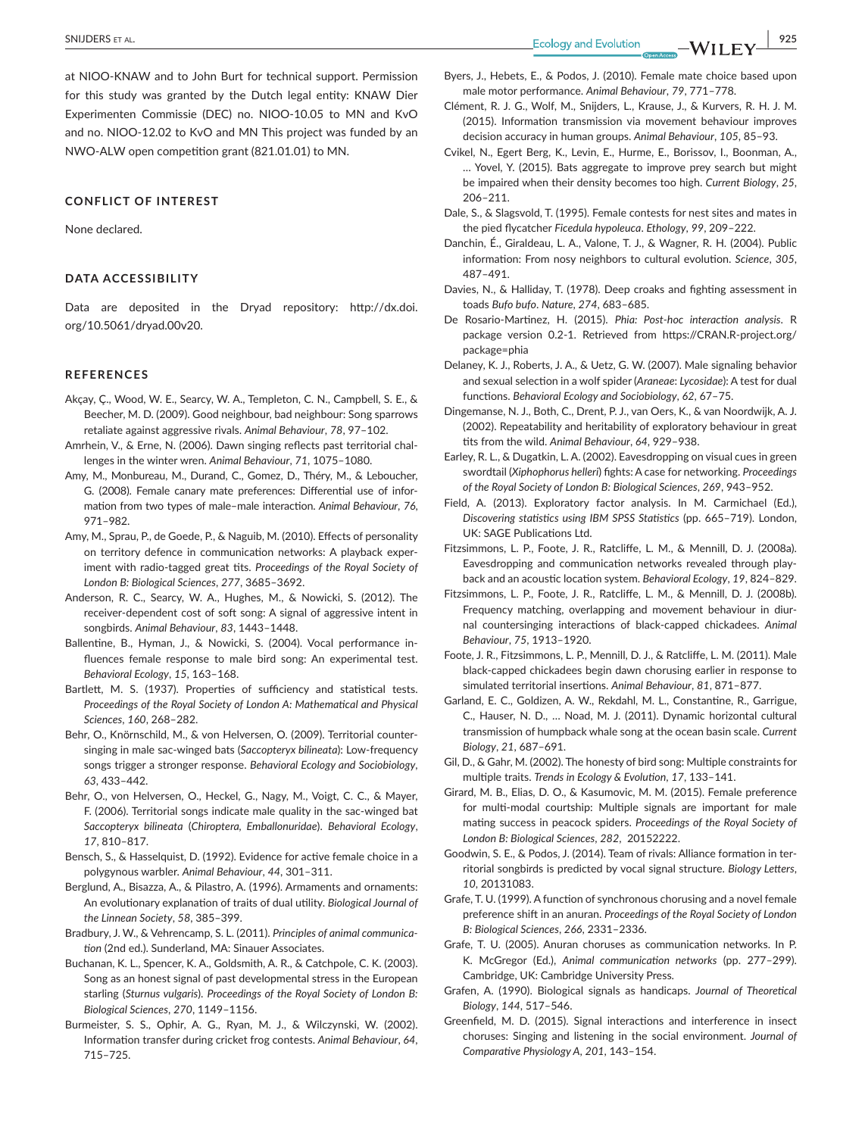at NIOO-KNAW and to John Burt for technical support. Permission for this study was granted by the Dutch legal entity: KNAW Dier Experimenten Commissie (DEC) no. NIOO-10.05 to MN and KvO and no. NIOO-12.02 to KvO and MN This project was funded by an NWO-ALW open competition grant (821.01.01) to MN.

#### **CONFLICT OF INTEREST**

None declared.

#### **DATA ACCESSIBILITY**

Data are deposited in the Dryad repository: [http://dx.doi.](http://dx.doi.org/10.5061/dryad.00v20) [org/10.5061/dryad.00v20.](http://dx.doi.org/10.5061/dryad.00v20)

#### **REFERENCES**

- Akçay, Ç., Wood, W. E., Searcy, W. A., Templeton, C. N., Campbell, S. E., & Beecher, M. D. (2009). Good neighbour, bad neighbour: Song sparrows retaliate against aggressive rivals. *Animal Behaviour*, *78*, 97–102.
- Amrhein, V., & Erne, N. (2006). Dawn singing reflects past territorial challenges in the winter wren. *Animal Behaviour*, *71*, 1075–1080.
- Amy, M., Monbureau, M., Durand, C., Gomez, D., Théry, M., & Leboucher, G. (2008). Female canary mate preferences: Differential use of information from two types of male–male interaction. *Animal Behaviour*, *76*, 971–982.
- Amy, M., Sprau, P., de Goede, P., & Naguib, M. (2010). Effects of personality on territory defence in communication networks: A playback experiment with radio-tagged great tits. *Proceedings of the Royal Society of London B: Biological Sciences*, *277*, 3685–3692.
- Anderson, R. C., Searcy, W. A., Hughes, M., & Nowicki, S. (2012). The receiver-dependent cost of soft song: A signal of aggressive intent in songbirds. *Animal Behaviour*, *83*, 1443–1448.
- Ballentine, B., Hyman, J., & Nowicki, S. (2004). Vocal performance influences female response to male bird song: An experimental test. *Behavioral Ecology*, *15*, 163–168.
- Bartlett, M. S. (1937). Properties of sufficiency and statistical tests. *Proceedings of the Royal Society of London A: Mathematical and Physical Sciences*, *160*, 268–282.
- Behr, O., Knörnschild, M., & von Helversen, O. (2009). Territorial countersinging in male sac-winged bats (*Saccopteryx bilineata*): Low-frequency songs trigger a stronger response. *Behavioral Ecology and Sociobiology*, *63*, 433–442.
- Behr, O., von Helversen, O., Heckel, G., Nagy, M., Voigt, C. C., & Mayer, F. (2006). Territorial songs indicate male quality in the sac-winged bat *Saccopteryx bilineata* (*Chiroptera, Emballonuridae*). *Behavioral Ecology*, *17*, 810–817.
- Bensch, S., & Hasselquist, D. (1992). Evidence for active female choice in a polygynous warbler. *Animal Behaviour*, *44*, 301–311.
- Berglund, A., Bisazza, A., & Pilastro, A. (1996). Armaments and ornaments: An evolutionary explanation of traits of dual utility. *Biological Journal of the Linnean Society*, *58*, 385–399.
- Bradbury, J. W., & Vehrencamp, S. L. (2011). *Principles of animal communication* (2nd ed.). Sunderland, MA: Sinauer Associates.
- Buchanan, K. L., Spencer, K. A., Goldsmith, A. R., & Catchpole, C. K. (2003). Song as an honest signal of past developmental stress in the European starling (*Sturnus vulgaris*). *Proceedings of the Royal Society of London B: Biological Sciences*, *270*, 1149–1156.
- Burmeister, S. S., Ophir, A. G., Ryan, M. J., & Wilczynski, W. (2002). Information transfer during cricket frog contests. *Animal Behaviour*, *64*, 715–725.
- Byers, J., Hebets, E., & Podos, J. (2010). Female mate choice based upon male motor performance. *Animal Behaviour*, *79*, 771–778.
- Clément, R. J. G., Wolf, M., Snijders, L., Krause, J., & Kurvers, R. H. J. M. (2015). Information transmission via movement behaviour improves decision accuracy in human groups. *Animal Behaviour*, *105*, 85–93.
- Cvikel, N., Egert Berg, K., Levin, E., Hurme, E., Borissov, I., Boonman, A., … Yovel, Y. (2015). Bats aggregate to improve prey search but might be impaired when their density becomes too high. *Current Biology*, *25*, 206–211.
- Dale, S., & Slagsvold, T. (1995). Female contests for nest sites and mates in the pied flycatcher *Ficedula hypoleuca*. *Ethology*, *99*, 209–222.
- Danchin, É., Giraldeau, L. A., Valone, T. J., & Wagner, R. H. (2004). Public information: From nosy neighbors to cultural evolution. *Science*, *305*, 487–491.
- Davies, N., & Halliday, T. (1978). Deep croaks and fighting assessment in toads *Bufo bufo*. *Nature*, *274*, 683–685.
- De Rosario-Martinez, H. (2015). *Phia: Post-hoc interaction analysis*. R package version 0.2-1. Retrieved from [https://CRAN.R-project.org/](https://CRAN.R-project.org/package=phia) [package=phia](https://CRAN.R-project.org/package=phia)
- Delaney, K. J., Roberts, J. A., & Uetz, G. W. (2007). Male signaling behavior and sexual selection in a wolf spider (*Araneae*: *Lycosidae*): A test for dual functions. *Behavioral Ecology and Sociobiology*, *62*, 67–75.
- Dingemanse, N. J., Both, C., Drent, P. J., van Oers, K., & van Noordwijk, A. J. (2002). Repeatability and heritability of exploratory behaviour in great tits from the wild. *Animal Behaviour*, *64*, 929–938.
- Earley, R. L., & Dugatkin, L. A. (2002). Eavesdropping on visual cues in green swordtail (*Xiphophorus helleri*) fights: A case for networking. *Proceedings of the Royal Society of London B: Biological Sciences*, *269*, 943–952.
- Field, A. (2013). Exploratory factor analysis. In M. Carmichael (Ed.), *Discovering statistics using IBM SPSS Statistics* (pp. 665–719). London, UK: SAGE Publications Ltd.
- Fitzsimmons, L. P., Foote, J. R., Ratcliffe, L. M., & Mennill, D. J. (2008a). Eavesdropping and communication networks revealed through playback and an acoustic location system. *Behavioral Ecology*, *19*, 824–829.
- Fitzsimmons, L. P., Foote, J. R., Ratcliffe, L. M., & Mennill, D. J. (2008b). Frequency matching, overlapping and movement behaviour in diurnal countersinging interactions of black-capped chickadees. *Animal Behaviour*, *75*, 1913–1920.
- Foote, J. R., Fitzsimmons, L. P., Mennill, D. J., & Ratcliffe, L. M. (2011). Male black-capped chickadees begin dawn chorusing earlier in response to simulated territorial insertions. *Animal Behaviour*, *81*, 871–877.
- Garland, E. C., Goldizen, A. W., Rekdahl, M. L., Constantine, R., Garrigue, C., Hauser, N. D., … Noad, M. J. (2011). Dynamic horizontal cultural transmission of humpback whale song at the ocean basin scale. *Current Biology*, *21*, 687–691.
- Gil, D., & Gahr, M. (2002). The honesty of bird song: Multiple constraints for multiple traits. *Trends in Ecology & Evolution*, *17*, 133–141.
- Girard, M. B., Elias, D. O., & Kasumovic, M. M. (2015). Female preference for multi-modal courtship: Multiple signals are important for male mating success in peacock spiders. *Proceedings of the Royal Society of London B: Biological Sciences*, *282*, 20152222.
- Goodwin, S. E., & Podos, J. (2014). Team of rivals: Alliance formation in territorial songbirds is predicted by vocal signal structure. *Biology Letters*, *10*, 20131083.
- Grafe, T. U. (1999). A function of synchronous chorusing and a novel female preference shift in an anuran. *Proceedings of the Royal Society of London B: Biological Sciences*, *266*, 2331–2336.
- Grafe, T. U. (2005). Anuran choruses as communication networks. In P. K. McGregor (Ed.), *Animal communication networks* (pp. 277–299). Cambridge, UK: Cambridge University Press.
- Grafen, A. (1990). Biological signals as handicaps. *Journal of Theoretical Biology*, *144*, 517–546.
- Greenfield, M. D. (2015). Signal interactions and interference in insect choruses: Singing and listening in the social environment. *Journal of Comparative Physiology A*, *201*, 143–154.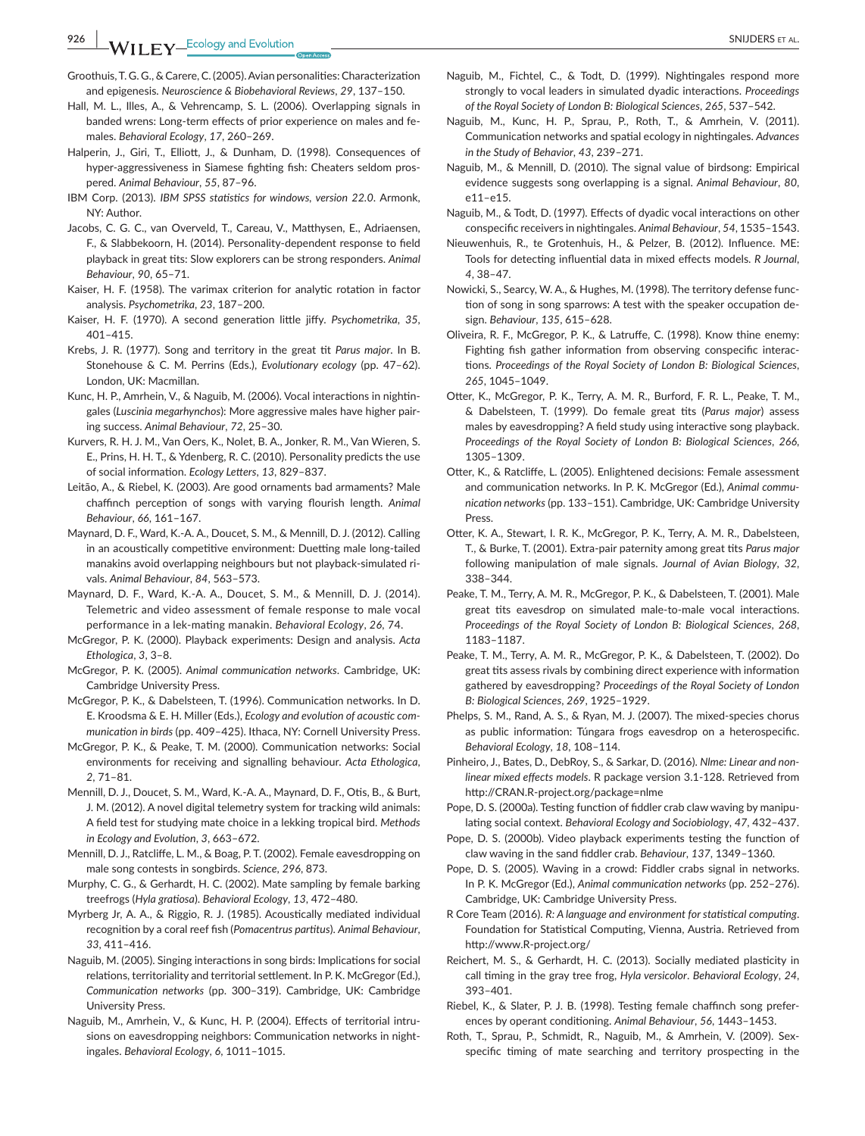**926 WII FY** Ecology and Evolution **and Experiment Control of the SNIJDERS** ET AL.

- Groothuis, T. G. G., & Carere, C. (2005). Avian personalities: Characterization and epigenesis. *Neuroscience & Biobehavioral Reviews*, *29*, 137–150.
- Hall, M. L., Illes, A., & Vehrencamp, S. L. (2006). Overlapping signals in banded wrens: Long-term effects of prior experience on males and females. *Behavioral Ecology*, *17*, 260–269.
- Halperin, J., Giri, T., Elliott, J., & Dunham, D. (1998). Consequences of hyper-aggressiveness in Siamese fighting fish: Cheaters seldom prospered. *Animal Behaviour*, *55*, 87–96.
- IBM Corp. (2013). *IBM SPSS statistics for windows, version 22.0*. Armonk, NY: Author.
- Jacobs, C. G. C., van Overveld, T., Careau, V., Matthysen, E., Adriaensen, F., & Slabbekoorn, H. (2014). Personality-dependent response to field playback in great tits: Slow explorers can be strong responders. *Animal Behaviour*, *90*, 65–71.
- Kaiser, H. F. (1958). The varimax criterion for analytic rotation in factor analysis. *Psychometrika*, *23*, 187–200.
- Kaiser, H. F. (1970). A second generation little jiffy. *Psychometrika*, *35*, 401–415.
- Krebs, J. R. (1977). Song and territory in the great tit *Parus major*. In B. Stonehouse & C. M. Perrins (Eds.), *Evolutionary ecology* (pp. 47–62). London, UK: Macmillan.
- Kunc, H. P., Amrhein, V., & Naguib, M. (2006). Vocal interactions in nightingales (*Luscinia megarhynchos*): More aggressive males have higher pairing success. *Animal Behaviour*, *72*, 25–30.
- Kurvers, R. H. J. M., Van Oers, K., Nolet, B. A., Jonker, R. M., Van Wieren, S. E., Prins, H. H. T., & Ydenberg, R. C. (2010). Personality predicts the use of social information. *Ecology Letters*, *13*, 829–837.
- Leitão, A., & Riebel, K. (2003). Are good ornaments bad armaments? Male chaffinch perception of songs with varying flourish length. *Animal Behaviour*, *66*, 161–167.
- Maynard, D. F., Ward, K.-A. A., Doucet, S. M., & Mennill, D. J. (2012). Calling in an acoustically competitive environment: Duetting male long-tailed manakins avoid overlapping neighbours but not playback-simulated rivals. *Animal Behaviour*, *84*, 563–573.
- Maynard, D. F., Ward, K.-A. A., Doucet, S. M., & Mennill, D. J. (2014). Telemetric and video assessment of female response to male vocal performance in a lek-mating manakin. *Behavioral Ecology*, *26*, 74.
- McGregor, P. K. (2000). Playback experiments: Design and analysis. *Acta Ethologica*, *3*, 3–8.
- McGregor, P. K. (2005). *Animal communication networks*. Cambridge, UK: Cambridge University Press.
- McGregor, P. K., & Dabelsteen, T. (1996). Communication networks. In D. E. Kroodsma & E. H. Miller (Eds.), *Ecology and evolution of acoustic communication in birds* (pp. 409–425). Ithaca, NY: Cornell University Press.
- McGregor, P. K., & Peake, T. M. (2000). Communication networks: Social environments for receiving and signalling behaviour. *Acta Ethologica*, *2*, 71–81.
- Mennill, D. J., Doucet, S. M., Ward, K.-A. A., Maynard, D. F., Otis, B., & Burt, J. M. (2012). A novel digital telemetry system for tracking wild animals: A field test for studying mate choice in a lekking tropical bird. *Methods in Ecology and Evolution*, *3*, 663–672.
- Mennill, D. J., Ratcliffe, L. M., & Boag, P. T. (2002). Female eavesdropping on male song contests in songbirds. *Science*, *296*, 873.
- Murphy, C. G., & Gerhardt, H. C. (2002). Mate sampling by female barking treefrogs (*Hyla gratiosa*). *Behavioral Ecology*, *13*, 472–480.
- Myrberg Jr, A. A., & Riggio, R. J. (1985). Acoustically mediated individual recognition by a coral reef fish (*Pomacentrus partitus*). *Animal Behaviour*, *33*, 411–416.
- Naguib, M. (2005). Singing interactions in song birds: Implications for social relations, territoriality and territorial settlement. In P. K. McGregor (Ed.), *Communication networks* (pp. 300–319). Cambridge, UK: Cambridge University Press.
- Naguib, M., Amrhein, V., & Kunc, H. P. (2004). Effects of territorial intrusions on eavesdropping neighbors: Communication networks in nightingales. *Behavioral Ecology*, *6*, 1011–1015.
- Naguib, M., Fichtel, C., & Todt, D. (1999). Nightingales respond more strongly to vocal leaders in simulated dyadic interactions. *Proceedings of the Royal Society of London B: Biological Sciences*, *265*, 537–542.
- Naguib, M., Kunc, H. P., Sprau, P., Roth, T., & Amrhein, V. (2011). Communication networks and spatial ecology in nightingales. *Advances in the Study of Behavior*, *43*, 239–271.
- Naguib, M., & Mennill, D. (2010). The signal value of birdsong: Empirical evidence suggests song overlapping is a signal. *Animal Behaviour*, *80*, e11–e15.
- Naguib, M., & Todt, D. (1997). Effects of dyadic vocal interactions on other conspecific receivers in nightingales. *Animal Behaviour*, *54*, 1535–1543.
- Nieuwenhuis, R., te Grotenhuis, H., & Pelzer, B. (2012). Influence. ME: Tools for detecting influential data in mixed effects models. *R Journal*, *4*, 38–47.
- Nowicki, S., Searcy, W. A., & Hughes, M. (1998). The territory defense function of song in song sparrows: A test with the speaker occupation design. *Behaviour*, *135*, 615–628.
- Oliveira, R. F., McGregor, P. K., & Latruffe, C. (1998). Know thine enemy: Fighting fish gather information from observing conspecific interactions. *Proceedings of the Royal Society of London B: Biological Sciences*, *265*, 1045–1049.
- Otter, K., McGregor, P. K., Terry, A. M. R., Burford, F. R. L., Peake, T. M., & Dabelsteen, T. (1999). Do female great tits (*Parus major*) assess males by eavesdropping? A field study using interactive song playback. *Proceedings of the Royal Society of London B: Biological Sciences*, *266*, 1305–1309.
- Otter, K., & Ratcliffe, L. (2005). Enlightened decisions: Female assessment and communication networks. In P. K. McGregor (Ed.), *Animal communication networks* (pp. 133–151). Cambridge, UK: Cambridge University Press.
- Otter, K. A., Stewart, I. R. K., McGregor, P. K., Terry, A. M. R., Dabelsteen, T., & Burke, T. (2001). Extra-pair paternity among great tits *Parus major* following manipulation of male signals. *Journal of Avian Biology*, *32*, 338–344.
- Peake, T. M., Terry, A. M. R., McGregor, P. K., & Dabelsteen, T. (2001). Male great tits eavesdrop on simulated male-to-male vocal interactions. *Proceedings of the Royal Society of London B: Biological Sciences*, *268*, 1183–1187.
- Peake, T. M., Terry, A. M. R., McGregor, P. K., & Dabelsteen, T. (2002). Do great tits assess rivals by combining direct experience with information gathered by eavesdropping? *Proceedings of the Royal Society of London B: Biological Sciences*, *269*, 1925–1929.
- Phelps, S. M., Rand, A. S., & Ryan, M. J. (2007). The mixed-species chorus as public information: Túngara frogs eavesdrop on a heterospecific. *Behavioral Ecology*, *18*, 108–114.
- Pinheiro, J., Bates, D., DebRoy, S., & Sarkar, D. (2016). *Nlme: Linear and nonlinear mixed effects models*. R package version 3.1-128. Retrieved from <http://CRAN.R-project.org/package=nlme>
- Pope, D. S. (2000a). Testing function of fiddler crab claw waving by manipulating social context. *Behavioral Ecology and Sociobiology*, *47*, 432–437.
- Pope, D. S. (2000b). Video playback experiments testing the function of claw waving in the sand fiddler crab. *Behaviour*, *137*, 1349–1360.
- Pope, D. S. (2005). Waving in a crowd: Fiddler crabs signal in networks. In P. K. McGregor (Ed.), *Animal communication networks* (pp. 252–276). Cambridge, UK: Cambridge University Press.
- R Core Team (2016). *R: A language and environment for statistical computing*. Foundation for Statistical Computing, Vienna, Austria. Retrieved from <http://www.R-project.org/>
- Reichert, M. S., & Gerhardt, H. C. (2013). Socially mediated plasticity in call timing in the gray tree frog, *Hyla versicolor*. *Behavioral Ecology*, *24*, 393–401.
- Riebel, K., & Slater, P. J. B. (1998). Testing female chaffinch song preferences by operant conditioning. *Animal Behaviour*, *56*, 1443–1453.
- Roth, T., Sprau, P., Schmidt, R., Naguib, M., & Amrhein, V. (2009). Sexspecific timing of mate searching and territory prospecting in the